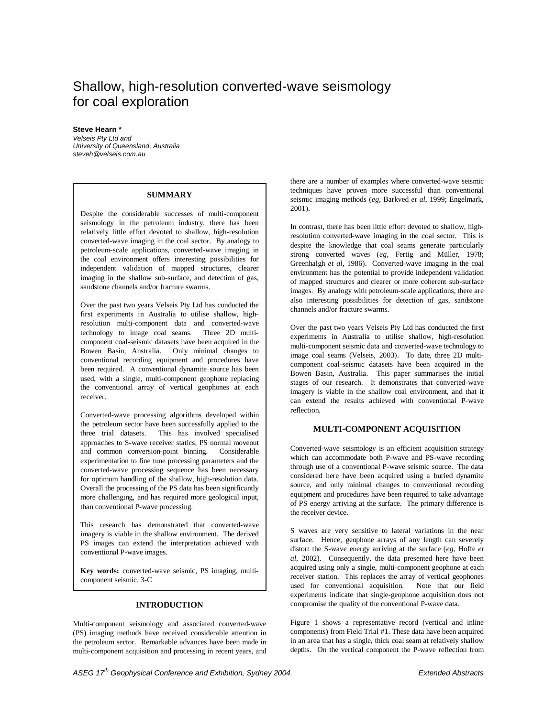# Shallow, high-resolution converted-wave seismology for coal exploration

## **Steve Hearn \***

Velseis Pty Ltd and University of Queensland, Australia steveh@velseis.com.au

## **SUMMARY**

Despite the considerable successes of multi-component seismology in the petroleum industry, there has been relatively little effort devoted to shallow, high-resolution converted-wave imaging in the coal sector. By analogy to petroleum-scale applications, converted-wave imaging in the coal environment offers interesting possibilities for independent validation of mapped structures, clearer imaging in the shallow sub-surface, and detection of gas, sandstone channels and/or fracture swarms.

Over the past two years Velseis Pty Ltd has conducted the first experiments in Australia to utilise shallow, highresolution multi-component data and converted-wave technology to image coal seams. Three 2D multicomponent coal-seismic datasets have been acquired in the Bowen Basin, Australia. Only minimal changes to conventional recording equipment and procedures have been required. A conventional dynamite source has been used, with a single, multi-component geophone replacing the conventional array of vertical geophones at each receiver.

Converted-wave processing algorithms developed within the petroleum sector have been successfully applied to the three trial datasets. This has involved specialised approaches to S-wave receiver statics, PS normal moveout and common conversion-point binning. Considerable experimentation to fine tune processing parameters and the converted-wave processing sequence has been necessary for optimum handling of the shallow, high-resolution data. Overall the processing of the PS data has been significantly more challenging, and has required more geological input, than conventional P-wave processing.

This research has demonstrated that converted-wave imagery is viable in the shallow environment. The derived PS images can extend the interpretation achieved with conventional P-wave images.

**Key words:** converted-wave seismic, PS imaging, multicomponent seismic, 3-C

## **INTRODUCTION**

Multi-component seismology and associated converted-wave (PS) imaging methods have received considerable attention in the petroleum sector. Remarkable advances have been made in multi-component acquisition and processing in recent years, and

there are a number of examples where converted-wave seismic techniques have proven more successful than conventional seismic imaging methods (*eg,* Barkved *et al*, 1999; Engelmark, 2001).

In contrast, there has been little effort devoted to shallow, highresolution converted-wave imaging in the coal sector. This is despite the knowledge that coal seams generate particularly strong converted waves (*eg,* Fertig and Müller, 1978; Greenhalgh *et al*, 1986). Converted-wave imaging in the coal environment has the potential to provide independent validation of mapped structures and clearer or more coherent sub-surface images. By analogy with petroleum-scale applications, there are also interesting possibilities for detection of gas, sandstone channels and/or fracture swarms.

Over the past two years Velseis Pty Ltd has conducted the first experiments in Australia to utilise shallow, high-resolution multi-component seismic data and converted-wave technology to image coal seams (Velseis, 2003). To date, three 2D multicomponent coal-seismic datasets have been acquired in the Bowen Basin, Australia. This paper summarises the initial stages of our research. It demonstrates that converted-wave imagery is viable in the shallow coal environment, and that it can extend the results achieved with conventional P-wave reflection.

## **MULTI-COMPONENT ACQUISITION**

Converted-wave seismology is an efficient acquisition strategy which can accommodate both P-wave and PS-wave recording through use of a conventional P-wave seismic source. The data considered here have been acquired using a buried dynamite source, and only minimal changes to conventional recording equipment and procedures have been required to take advantage of PS energy arriving at the surface. The primary difference is the receiver device.

S waves are very sensitive to lateral variations in the near surface. Hence, geophone arrays of any length can severely distort the S-wave energy arriving at the surface (*eg,* Hoffe *et al*, 2002). Consequently, the data presented here have been acquired using only a single, multi-component geophone at each receiver station. This replaces the array of vertical geophones used for conventional acquisition. Note that our field experiments indicate that single-geophone acquisition does not compromise the quality of the conventional P-wave data.

Figure 1 shows a representative record (vertical and inline components) from Field Trial #1. These data have been acquired in an area that has a single, thick coal seam at relatively shallow depths. On the vertical component the P-wave reflection from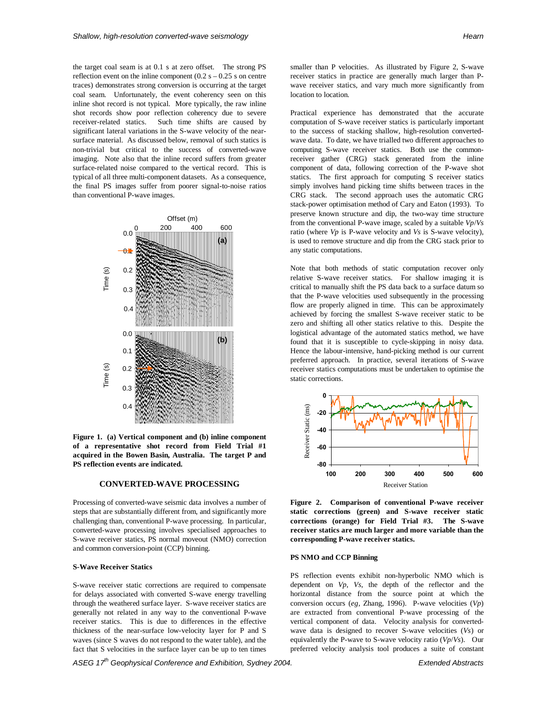the target coal seam is at 0.1 s at zero offset. The strong PS reflection event on the inline component  $(0.2 \text{ s} - 0.25 \text{ s})$  on centre traces) demonstrates strong conversion is occurring at the target coal seam. Unfortunately, the event coherency seen on this inline shot record is not typical. More typically, the raw inline shot records show poor reflection coherency due to severe receiver-related statics. Such time shifts are caused by significant lateral variations in the S-wave velocity of the nearsurface material. As discussed below, removal of such statics is non-trivial but critical to the success of converted-wave imaging. Note also that the inline record suffers from greater surface-related noise compared to the vertical record. This is typical of all three multi-component datasets. As a consequence, the final PS images suffer from poorer signal-to-noise ratios than conventional P-wave images.



**Figure 1. (a) Vertical component and (b) inline component of a representative shot record from Field Trial #1 acquired in the Bowen Basin, Australia. The target P and PS reflection events are indicated.**

## **CONVERTED-WAVE PROCESSING**

Processing of converted-wave seismic data involves a number of steps that are substantially different from, and significantly more challenging than, conventional P-wave processing. In particular, converted-wave processing involves specialised approaches to S-wave receiver statics, PS normal moveout (NMO) correction and common conversion-point (CCP) binning.

## **S-Wave Receiver Statics**

S-wave receiver static corrections are required to compensate for delays associated with converted S-wave energy travelling through the weathered surface layer. S-wave receiver statics are generally not related in any way to the conventional P-wave receiver statics. This is due to differences in the effective thickness of the near-surface low-velocity layer for P and S waves (since S waves do not respond to the water table), and the fact that S velocities in the surface layer can be up to ten times

ASEG 17<sup>th</sup> Geophysical Conference and Exhibition, Sydney 2004. **Extended Abstracts** Extended Abstracts

smaller than P velocities. As illustrated by Figure 2, S-wave receiver statics in practice are generally much larger than Pwave receiver statics, and vary much more significantly from location to location.

Practical experience has demonstrated that the accurate computation of S-wave receiver statics is particularly important to the success of stacking shallow, high-resolution convertedwave data. To date, we have trialled two different approaches to computing S-wave receiver statics. Both use the commonreceiver gather (CRG) stack generated from the inline component of data, following correction of the P-wave shot statics. The first approach for computing S receiver statics simply involves hand picking time shifts between traces in the CRG stack. The second approach uses the automatic CRG stack-power optimisation method of Cary and Eaton (1993). To preserve known structure and dip, the two-way time structure from the conventional P-wave image, scaled by a suitable *Vp*/*Vs* ratio (where *Vp* is P-wave velocity and *Vs* is S-wave velocity), is used to remove structure and dip from the CRG stack prior to any static computations.

Note that both methods of static computation recover only relative S-wave receiver statics. For shallow imaging it is critical to manually shift the PS data back to a surface datum so that the P-wave velocities used subsequently in the processing flow are properly aligned in time. This can be approximately achieved by forcing the smallest S-wave receiver static to be zero and shifting all other statics relative to this. Despite the logistical advantage of the automated statics method, we have found that it is susceptible to cycle-skipping in noisy data. Hence the labour-intensive, hand-picking method is our current preferred approach. In practice, several iterations of S-wave receiver statics computations must be undertaken to optimise the static corrections.



**Figure 2. Comparison of conventional P-wave receiver static corrections (green) and S-wave receiver static corrections (orange) for Field Trial #3. The S-wave receiver statics are much larger and more variable than the corresponding P-wave receiver statics.**

#### **PS NMO and CCP Binning**

PS reflection events exhibit non-hyperbolic NMO which is dependent on *Vp*, *Vs*, the depth of the reflector and the horizontal distance from the source point at which the conversion occurs (*eg,* Zhang, 1996). P-wave velocities (*Vp*) are extracted from conventional P-wave processing of the vertical component of data. Velocity analysis for convertedwave data is designed to recover S-wave velocities (*Vs*) or equivalently the P-wave to S-wave velocity ratio (*Vp*/*Vs*). Our preferred velocity analysis tool produces a suite of constant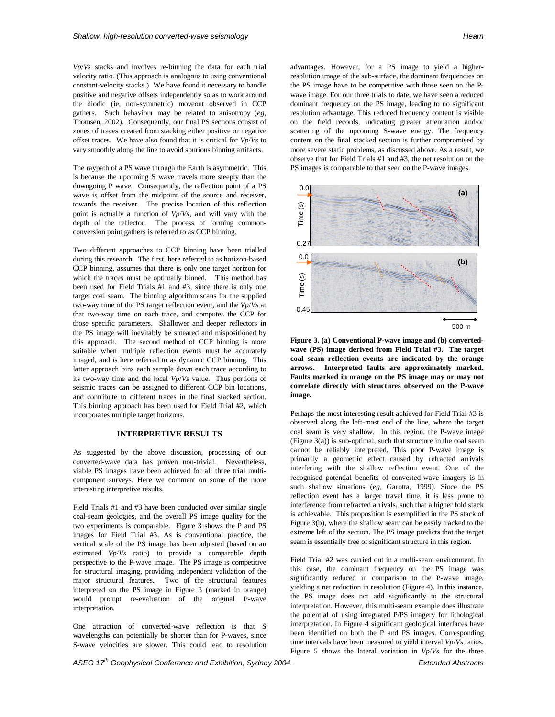*Vp*/*Vs* stacks and involves re-binning the data for each trial velocity ratio. (This approach is analogous to using conventional constant-velocity stacks.) We have found it necessary to handle positive and negative offsets independently so as to work around the diodic (ie, non-symmetric) moveout observed in CCP gathers. Such behaviour may be related to anisotropy (*eg,* Thomsen, 2002). Consequently, our final PS sections consist of zones of traces created from stacking either positive or negative offset traces. We have also found that it is critical for *Vp*/*Vs* to vary smoothly along the line to avoid spurious binning artifacts.

The raypath of a PS wave through the Earth is asymmetric. This is because the upcoming S wave travels more steeply than the downgoing P wave. Consequently, the reflection point of a PS wave is offset from the midpoint of the source and receiver, towards the receiver. The precise location of this reflection point is actually a function of *Vp*/*Vs*, and will vary with the depth of the reflector. The process of forming commonconversion point gathers is referred to as CCP binning.

Two different approaches to CCP binning have been trialled during this research. The first, here referred to as horizon-based CCP binning, assumes that there is only one target horizon for which the traces must be optimally binned. This method has been used for Field Trials #1 and #3, since there is only one target coal seam. The binning algorithm scans for the supplied two-way time of the PS target reflection event, and the *Vp*/*Vs* at that two-way time on each trace, and computes the CCP for those specific parameters. Shallower and deeper reflectors in the PS image will inevitably be smeared and mispositioned by this approach. The second method of CCP binning is more suitable when multiple reflection events must be accurately imaged, and is here referred to as dynamic CCP binning. This latter approach bins each sample down each trace according to its two-way time and the local *Vp*/*Vs* value. Thus portions of seismic traces can be assigned to different CCP bin locations, and contribute to different traces in the final stacked section. This binning approach has been used for Field Trial #2, which incorporates multiple target horizons.

### **INTERPRETIVE RESULTS**

As suggested by the above discussion, processing of our converted-wave data has proven non-trivial. Nevertheless, viable PS images have been achieved for all three trial multicomponent surveys. Here we comment on some of the more interesting interpretive results.

Field Trials #1 and #3 have been conducted over similar single coal-seam geologies, and the overall PS image quality for the two experiments is comparable. Figure 3 shows the P and PS images for Field Trial #3. As is conventional practice, the vertical scale of the PS image has been adjusted (based on an estimated *Vp*/*Vs* ratio) to provide a comparable depth perspective to the P-wave image. The PS image is competitive for structural imaging, providing independent validation of the major structural features. Two of the structural features interpreted on the PS image in Figure 3 (marked in orange) would prompt re-evaluation of the original P-wave interpretation.

One attraction of converted-wave reflection is that S wavelengths can potentially be shorter than for P-waves, since S-wave velocities are slower. This could lead to resolution

advantages. However, for a PS image to yield a higherresolution image of the sub-surface, the dominant frequencies on the PS image have to be competitive with those seen on the Pwave image. For our three trials to date, we have seen a reduced dominant frequency on the PS image, leading to no significant resolution advantage. This reduced frequency content is visible on the field records, indicating greater attenuation and/or scattering of the upcoming S-wave energy. The frequency content on the final stacked section is further compromised by more severe static problems, as discussed above. As a result, we observe that for Field Trials #1 and #3, the net resolution on the PS images is comparable to that seen on the P-wave images.



**Figure 3. (a) Conventional P-wave image and (b) convertedwave (PS) image derived from Field Trial #3. The target coal seam reflection events are indicated by the orange arrows. Interpreted faults are approximately marked. Faults marked in orange on the PS image may or may not correlate directly with structures observed on the P-wave image.**

Perhaps the most interesting result achieved for Field Trial #3 is observed along the left-most end of the line, where the target coal seam is very shallow. In this region, the P-wave image (Figure 3(a)) is sub-optimal, such that structure in the coal seam cannot be reliably interpreted. This poor P-wave image is primarily a geometric effect caused by refracted arrivals interfering with the shallow reflection event. One of the recognised potential benefits of converted-wave imagery is in such shallow situations (*eg,* Garotta, 1999). Since the PS reflection event has a larger travel time, it is less prone to interference from refracted arrivals, such that a higher fold stack is achievable. This proposition is exemplified in the PS stack of Figure 3(b), where the shallow seam can be easily tracked to the extreme left of the section. The PS image predicts that the target seam is essentially free of significant structure in this region.

Field Trial #2 was carried out in a multi-seam environment. In this case, the dominant frequency on the PS image was significantly reduced in comparison to the P-wave image, yielding a net reduction in resolution (Figure 4). In this instance, the PS image does not add significantly to the structural interpretation. However, this multi-seam example does illustrate the potential of using integrated P/PS imagery for lithological interpretation. In Figure 4 significant geological interfaces have been identified on both the P and PS images. Corresponding time intervals have been measured to yield interval *Vp*/*Vs* ratios. Figure 5 shows the lateral variation in *Vp*/*Vs* for the three